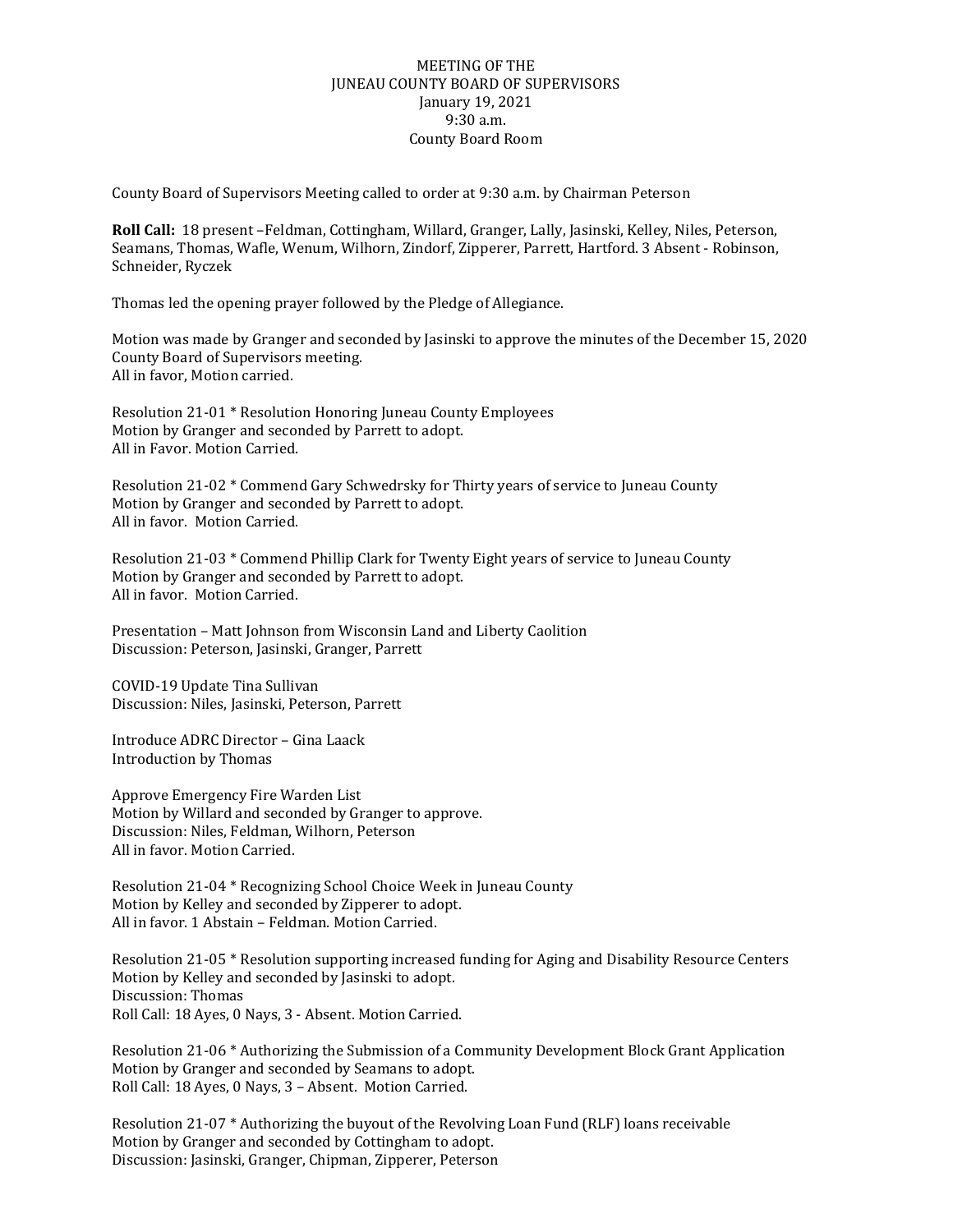## MEETING OF THE JUNEAU COUNTY BOARD OF SUPERVISORS January 19, 2021 9:30 a.m. County Board Room

County Board of Supervisors Meeting called to order at 9:30 a.m. by Chairman Peterson

**Roll Call:** 18 present –Feldman, Cottingham, Willard, Granger, Lally, Jasinski, Kelley, Niles, Peterson, Seamans, Thomas, Wafle, Wenum, Wilhorn, Zindorf, Zipperer, Parrett, Hartford. 3 Absent - Robinson, Schneider, Ryczek

Thomas led the opening prayer followed by the Pledge of Allegiance.

Motion was made by Granger and seconded by Jasinski to approve the minutes of the December 15, 2020 County Board of Supervisors meeting. All in favor, Motion carried.

Resolution 21-01 \* Resolution Honoring Juneau County Employees Motion by Granger and seconded by Parrett to adopt. All in Favor. Motion Carried.

Resolution 21-02 \* Commend Gary Schwedrsky for Thirty years of service to Juneau County Motion by Granger and seconded by Parrett to adopt. All in favor. Motion Carried.

Resolution 21-03 \* Commend Phillip Clark for Twenty Eight years of service to Juneau County Motion by Granger and seconded by Parrett to adopt. All in favor. Motion Carried.

Presentation – Matt Johnson from Wisconsin Land and Liberty Caolition Discussion: Peterson, Jasinski, Granger, Parrett

COVID-19 Update Tina Sullivan Discussion: Niles, Jasinski, Peterson, Parrett

Introduce ADRC Director – Gina Laack Introduction by Thomas

Approve Emergency Fire Warden List Motion by Willard and seconded by Granger to approve. Discussion: Niles, Feldman, Wilhorn, Peterson All in favor. Motion Carried.

Resolution 21-04 \* Recognizing School Choice Week in Juneau County Motion by Kelley and seconded by Zipperer to adopt. All in favor. 1 Abstain – Feldman. Motion Carried.

Resolution 21-05 \* Resolution supporting increased funding for Aging and Disability Resource Centers Motion by Kelley and seconded by Jasinski to adopt. Discussion: Thomas Roll Call: 18 Ayes, 0 Nays, 3 - Absent. Motion Carried.

Resolution 21-06 \* Authorizing the Submission of a Community Development Block Grant Application Motion by Granger and seconded by Seamans to adopt. Roll Call: 18 Ayes, 0 Nays, 3 – Absent. Motion Carried.

Resolution 21-07 \* Authorizing the buyout of the Revolving Loan Fund (RLF) loans receivable Motion by Granger and seconded by Cottingham to adopt. Discussion: Jasinski, Granger, Chipman, Zipperer, Peterson